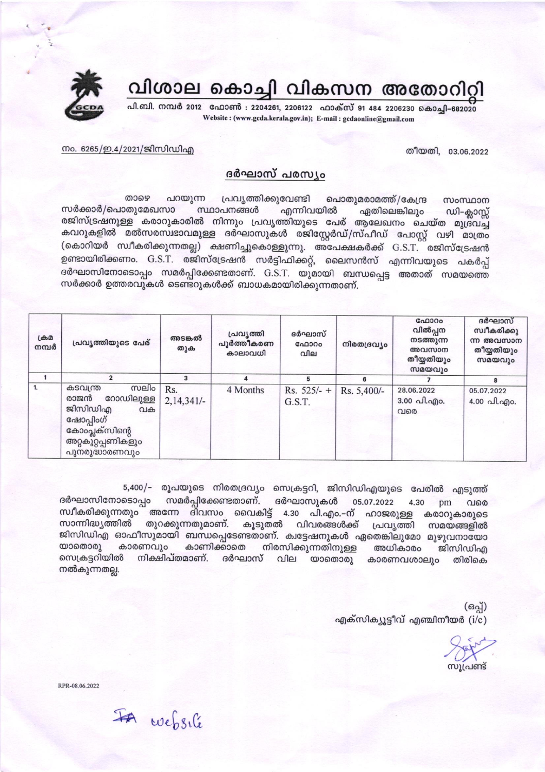വിശാല കൊച്ചി വികസന അതോറിറ്റി

പി.ബി. നമ്പർ 2012 ഫോൺ : 2204261, 2206122 ഫാക്സ് 91 484 2206230 കൊച്ചി-682020 Website: (www.gcda.kerala.gov.in); E-mail: gcdaonline@gmail.com

തീയതി, 03.06.2022

നം. 6265/ഇ.4/2021/ജിസിഡിഎ

## ദർഘാസ് പരസ്യം

താഴെ പറയുന്ന പ്രവൃത്തിക്കുവേണ്ടി പൊതുമരാമത്ത്/കേന്ദ്ര സംസ്ഥാന സർക്കാർ/പൊതുമേഖസാ സ്ഥാപനങ്ങൾ എന്നിവയിൽ ഏതിലെങ്കിലും ഡി–ക്ലാസ്സ് രജിസ്ട്രഷനുള്ള കരാറുകാരിൽ നിന്നും പ്രവൃത്തിയുടെ പേര് ആലേഖനം ചെയ്ത മുദ്രവച്ച കവറുകളിൽ മൽസരസ്വഭാവമുള്ള ദർഘാസുകൾ രജിസ്റ്റേർഡ്/സ്പീഡ് പോസ്റ്റ് വഴി മാത്രം (കൊറിയർ സ്ഥീകരിക്കുന്നതല്ല) ക്ഷണിച്ചുകൊള്ളുന്നു. അപേക്ഷകർക്ക് G.S.T. രജിസ്ട്രേഷൻ ഉണ്ടായിരിക്കണം. G.S.T. രജിസ്ട്രേഷൻ സർട്ടിഫിക്കറ്റ്, ലൈസൻസ് എന്നിവയുടെ പകർപ്പ് ദർഘാസിനോടൊപ്പം സമർപ്പിക്കേണ്ടതാണ്. G.S.T. യുമായി ബന്ധപ്പെട്ട അതാത് സമയത്തെ സർക്കാർ ഉത്തരവുകൾ ടെണ്ടറുകൾക്ക് ബാധകമായിരിക്കുന്നതാണ്.

| $L \oplus \Omega$<br>നമ്പർ | പ്രവൃത്തിയുടെ പേര്                                                                                                              | അടങ്കൽ<br>തുക    | പ്രവ്യത്തി<br>പൂർത്തീകരണ<br>കാലാവധി | ദർഘാസ്<br>ഫോറം<br>വില   | നിരതദ്രവ്യം | GAD300<br>വിൽപ്പന<br>നടത്തുന്ന<br>അവസാന<br>തീയ്യതിയും<br>സമയവും | ദർഘാസ്<br>സ്വീകരിക്കു<br>ന്ന അവസാന<br>തീയ്യതിയും<br>സമയവും |
|----------------------------|---------------------------------------------------------------------------------------------------------------------------------|------------------|-------------------------------------|-------------------------|-------------|-----------------------------------------------------------------|------------------------------------------------------------|
|                            | $\overline{2}$                                                                                                                  | 3                |                                     | 5                       | 6           |                                                                 | 8                                                          |
| 1.                         | സലിം<br>കടവന്ത്ര<br>രാജൻ<br>റോഡിലുള്ള !<br>ജിസിഡിഎ<br>വക<br>ഷോപ്പിംഗ്<br>കോംപ്ലക്സിന്റെ<br>അറ്റകുറ്റപ്പണികളും<br>പുനരുദ്ധാരണവും | Rs.<br>2,14,341/ | 4 Months                            | $Rs. 525/- +$<br>G.S.T. | Rs. 5,400/- | 28.06.2022<br>3.00 പി.എo.<br>വരെ                                | 05.07.2022<br>4.00 പി.എo.                                  |

5,400/- രൂപയുടെ നിരതദ്രവ്യം സെക്രട്ടറി, ജിസിഡിഎയുടെ പേരിൽ എടുത്ത് ദർഘാസിനോടൊപ്പം സമർപ്പിക്കേണ്ടതാണ്. ദർഘാസുകൾ 05.07.2022 4.30 pm വരെ സ്ഥീകരിക്കുന്നതും അന്നേ ദിവസം വൈകിട്ട് 4.30 പി.എം.–ന് ഹാജരുള്ള കരാറുകാരുടെ സാന്നിദ്ധ്യത്തിൽ തുറക്കുന്നതുമാണ്. കൂടുതൽ വിവരങ്ങൾക്ക് പ്രവൃത്തി സമയങ്ങളിൽ ജിസിഡിഎ ഓഫീസുമായി ബന്ധപ്പെടേണ്ടതാണ്. ക്വട്ടേഷനുകൾ ഏതെങ്കിലുമോ മുഴുവനായോ കാരണവും കാണിക്കാതെ നിരസിക്കുന്നതിനുള്ള യാതൊരു അധികാരം ജിസിഡിഎ സെക്രട്ടറിയിൽ നിക്ഷിപ്തമാണ്. ദർഘാസ് വില യാതൊരു കാരണവശാലും തിരികെ നൽകുന്നതല്ല.

> (ഒപ്പ്) എക്സിക്യൂട്ടീവ് എഞ്ചിനീയർ ( $i/c$ )

<u>്യൂപ്രണ്ട്</u>

RPR-08.06.2022

In website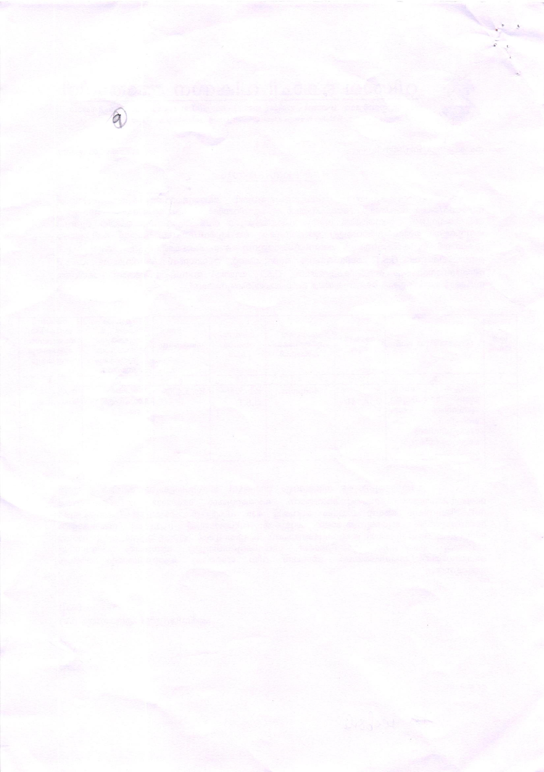